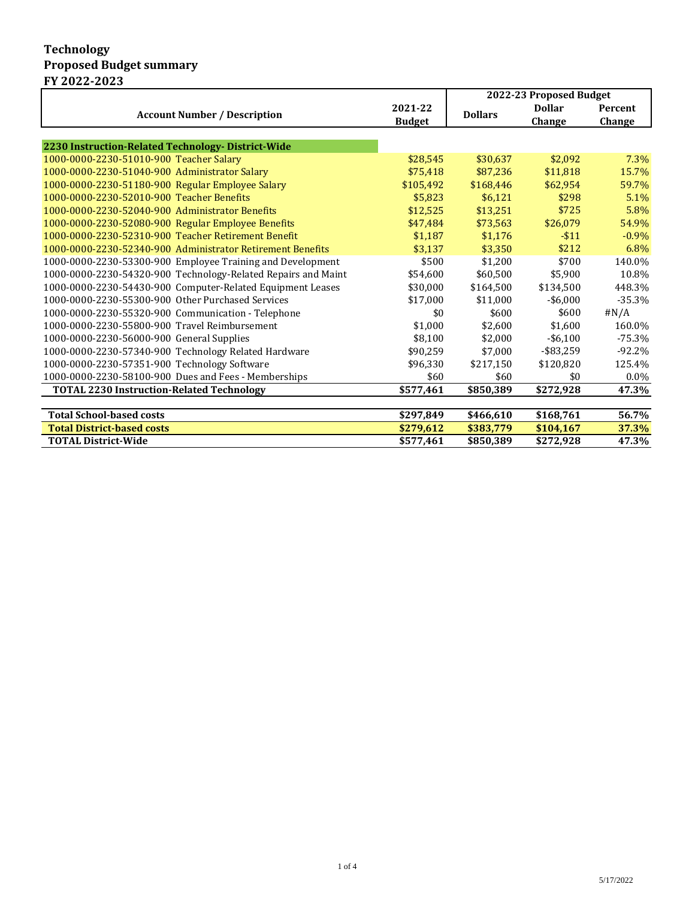## **Technology Proposed Budget summary FY 2022-2023**

|                                                               |               | 2022-23 Proposed Budget |               |                |
|---------------------------------------------------------------|---------------|-------------------------|---------------|----------------|
|                                                               | 2021-22       | <b>Dollars</b>          | <b>Dollar</b> | <b>Percent</b> |
| <b>Account Number / Description</b>                           | <b>Budget</b> |                         | Change        | Change         |
|                                                               |               |                         |               |                |
| 2230 Instruction-Related Technology-District-Wide             |               |                         |               |                |
| 1000-0000-2230-51010-900 Teacher Salary                       | \$28,545      | \$30,637                | \$2,092       | 7.3%           |
| 1000-0000-2230-51040-900 Administrator Salary                 | \$75,418      | \$87,236                | \$11,818      | 15.7%          |
| 1000-0000-2230-51180-900 Regular Employee Salary              | \$105,492     | \$168,446               | \$62,954      | 59.7%          |
| 1000-0000-2230-52010-900 Teacher Benefits                     | \$5,823       | \$6,121                 | \$298         | 5.1%           |
| 1000-0000-2230-52040-900 Administrator Benefits               | \$12.525      | \$13,251                | \$725         | 5.8%           |
| 1000-0000-2230-52080-900 Regular Employee Benefits            | \$47,484      | \$73,563                | \$26,079      | 54.9%          |
| 1000-0000-2230-52310-900 Teacher Retirement Benefit           | \$1,187       | \$1,176                 | $-511$        | $-0.9%$        |
| 1000-0000-2230-52340-900 Administrator Retirement Benefits    | \$3,137       | \$3,350                 | \$212         | 6.8%           |
| 1000-0000-2230-53300-900 Employee Training and Development    | \$500         | \$1.200                 | \$700         | 140.0%         |
| 1000-0000-2230-54320-900 Technology-Related Repairs and Maint | \$54,600      | \$60.500                | \$5.900       | 10.8%          |
| 1000-0000-2230-54430-900 Computer-Related Equipment Leases    | \$30,000      | \$164,500               | \$134,500     | 448.3%         |
| 1000-0000-2230-55300-900 Other Purchased Services             | \$17,000      | \$11,000                | $-$ \$6,000   | $-35.3%$       |
| 1000-0000-2230-55320-900 Communication - Telephone            | \$0           | \$600                   | \$600         | #N/A           |
| 1000-0000-2230-55800-900 Travel Reimbursement                 | \$1,000       | \$2,600                 | \$1,600       | 160.0%         |
| 1000-0000-2230-56000-900 General Supplies                     | \$8.100       | \$2.000                 | $-$ \$6,100   | $-75.3%$       |
| 1000-0000-2230-57340-900 Technology Related Hardware          | \$90,259      | \$7.000                 | $-$ \$83,259  | $-92.2%$       |
| 1000-0000-2230-57351-900 Technology Software                  | \$96,330      | \$217,150               | \$120,820     | 125.4%         |
| 1000-0000-2230-58100-900 Dues and Fees - Memberships          | \$60          | \$60                    | \$0           | 0.0%           |
| <b>TOTAL 2230 Instruction-Related Technology</b>              | \$577,461     | \$850,389               | \$272,928     | 47.3%          |
|                                                               |               |                         |               |                |
| <b>Total School-based costs</b>                               | \$297,849     | \$466,610               | \$168,761     | 56.7%          |
| <b>Total District-based costs</b>                             | \$279,612     | \$383,779               | \$104,167     | 37.3%          |
| <b>TOTAL District-Wide</b>                                    | \$577,461     | \$850,389               | \$272,928     | 47.3%          |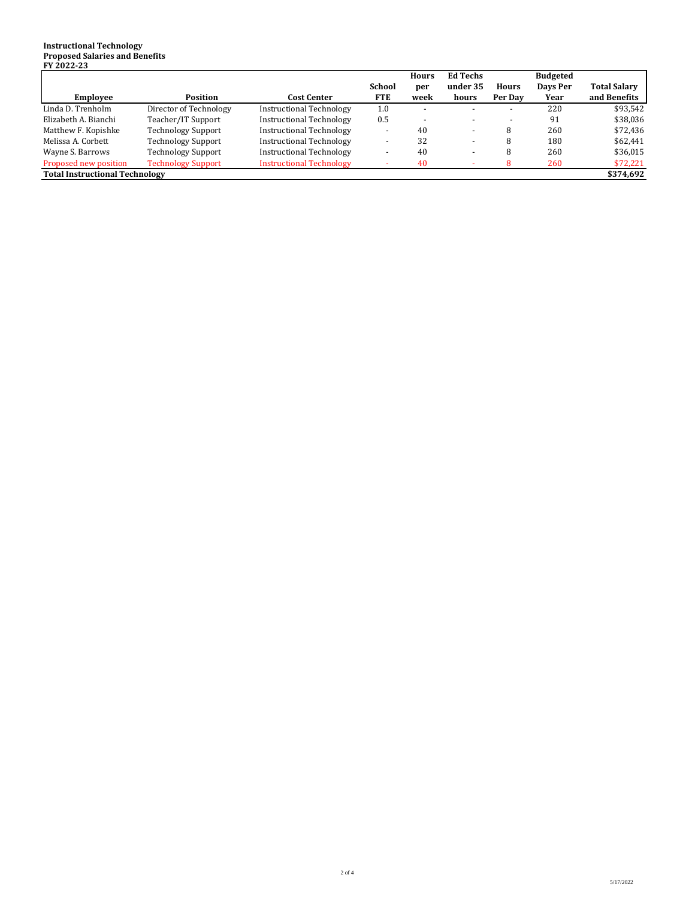## **Instructional Technology Proposed Salaries and Benefits FY 2022-23**

|                                       |                           |                                 |            | <b>Hours</b> | <b>Ed Techs</b> |         | <b>Budgeted</b> |                     |
|---------------------------------------|---------------------------|---------------------------------|------------|--------------|-----------------|---------|-----------------|---------------------|
|                                       |                           |                                 | School     | per          | under 35        | Hours   | Days Per        | <b>Total Salary</b> |
| <b>Employee</b>                       | Position                  | Cost Center                     | <b>FTE</b> | week         | hours           | Per Day | Year            | and Benefits        |
| Linda D. Trenholm                     | Director of Technology    | <b>Instructional Technology</b> | 1.0        |              |                 |         | 220             | \$93.542            |
| Elizabeth A. Bianchi                  | Teacher/IT Support        | <b>Instructional Technology</b> | 0.5        |              |                 |         | 91              | \$38,036            |
| Matthew F. Kopishke                   | <b>Technology Support</b> | <b>Instructional Technology</b> |            | 40           |                 | 8       | 260             | \$72,436            |
| Melissa A. Corbett                    | <b>Technology Support</b> | <b>Instructional Technology</b> | -          | 32           |                 | 8       | 180             | \$62,441            |
| Wayne S. Barrows                      | <b>Technology Support</b> | <b>Instructional Technology</b> |            | 40           |                 | 8       | 260             | \$36,015            |
| Proposed new position                 | <b>Technology Support</b> | <b>Instructional Technology</b> |            | 40           |                 | 8       | 260             | \$72,221            |
| <b>Total Instructional Technology</b> |                           |                                 |            |              | \$374,692       |         |                 |                     |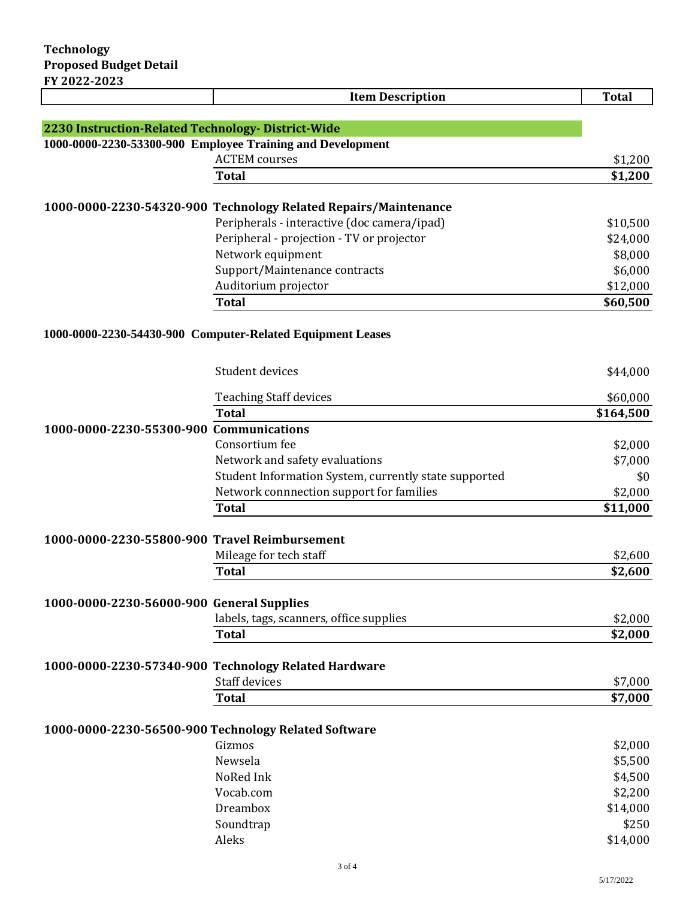|                                                            | <b>Item Description</b>                                                                                        | <b>Total</b>       |  |
|------------------------------------------------------------|----------------------------------------------------------------------------------------------------------------|--------------------|--|
|                                                            |                                                                                                                |                    |  |
| 2230 Instruction-Related Technology- District-Wide         |                                                                                                                |                    |  |
| 1000-0000-2230-53300-900 Employee Training and Development |                                                                                                                |                    |  |
|                                                            | <b>ACTEM</b> courses                                                                                           | \$1,200            |  |
|                                                            | <b>Total</b>                                                                                                   | \$1,200            |  |
|                                                            |                                                                                                                |                    |  |
|                                                            | 1000-0000-2230-54320-900 Technology Related Repairs/Maintenance<br>Peripherals - interactive (doc camera/ipad) | \$10,500           |  |
|                                                            | Peripheral - projection - TV or projector                                                                      | \$24,000           |  |
|                                                            | Network equipment                                                                                              | \$8,000            |  |
|                                                            | Support/Maintenance contracts                                                                                  | \$6,000            |  |
|                                                            | Auditorium projector                                                                                           | \$12,000           |  |
|                                                            | <b>Total</b>                                                                                                   | \$60,500           |  |
|                                                            |                                                                                                                |                    |  |
|                                                            | 1000-0000-2230-54430-900 Computer-Related Equipment Leases                                                     |                    |  |
|                                                            |                                                                                                                |                    |  |
|                                                            | Student devices                                                                                                | \$44,000           |  |
|                                                            |                                                                                                                |                    |  |
|                                                            | <b>Teaching Staff devices</b>                                                                                  | \$60,000           |  |
|                                                            | <b>Total</b>                                                                                                   | \$164,500          |  |
| 1000-0000-2230-55300-900 Communications                    |                                                                                                                |                    |  |
|                                                            | Consortium fee                                                                                                 | \$2,000            |  |
|                                                            | Network and safety evaluations                                                                                 | \$7,000            |  |
|                                                            | Student Information System, currently state supported                                                          | \$0                |  |
|                                                            | Network connnection support for families                                                                       | \$2,000            |  |
|                                                            | <b>Total</b>                                                                                                   | \$11,000           |  |
|                                                            |                                                                                                                |                    |  |
| 1000-0000-2230-55800-900 Travel Reimbursement              | Mileage for tech staff                                                                                         |                    |  |
|                                                            | <b>Total</b>                                                                                                   | \$2,600<br>\$2,600 |  |
|                                                            |                                                                                                                |                    |  |
| 1000-0000-2230-56000-900 General Supplies                  |                                                                                                                |                    |  |
|                                                            | labels, tags, scanners, office supplies                                                                        | \$2,000            |  |
|                                                            | <b>Total</b>                                                                                                   | \$2,000            |  |
|                                                            |                                                                                                                |                    |  |
|                                                            | 1000-0000-2230-57340-900 Technology Related Hardware                                                           |                    |  |
|                                                            | <b>Staff devices</b>                                                                                           | \$7,000            |  |
|                                                            | <b>Total</b>                                                                                                   | \$7,000            |  |
|                                                            |                                                                                                                |                    |  |
|                                                            | 1000-0000-2230-56500-900 Technology Related Software                                                           |                    |  |
|                                                            | Gizmos                                                                                                         | \$2,000            |  |
|                                                            | Newsela                                                                                                        | \$5,500            |  |
|                                                            | NoRed Ink                                                                                                      | \$4,500            |  |
|                                                            | Vocab.com                                                                                                      | \$2,200            |  |
|                                                            | Dreambox                                                                                                       | \$14,000           |  |
|                                                            | Soundtrap                                                                                                      | \$250              |  |
|                                                            | Aleks                                                                                                          | \$14,000           |  |
|                                                            | 3 of 4                                                                                                         |                    |  |
|                                                            |                                                                                                                |                    |  |